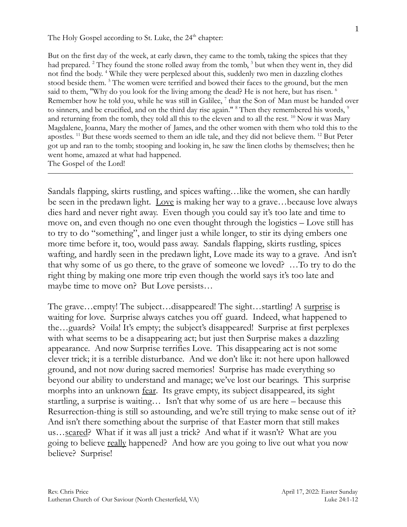The Holy Gospel according to St. Luke, the  $24<sup>th</sup>$  chapter:

But on the first day of the week, at early dawn, they came to the tomb, taking the spices that they had prepared. <sup>2</sup> They found the stone rolled away from the tomb, <sup>3</sup> but when they went in, they did not find the body. <sup>4</sup> While they were perplexed about this, suddenly two men in dazzling clothes stood beside them. <sup>5</sup> The women were terrified and bowed their faces to the ground, but the men said to them, "Why do you look for the living among the dead? He is not here, but has risen. <sup>6</sup> Remember how he told you, while he was still in Galilee,  $^7$  that the Son of Man must be handed over to sinners, and be crucified, and on the third day rise again." <sup>8</sup> Then they remembered his words, <sup>9</sup> and returning from the tomb, they told all this to the eleven and to all the rest. <sup>10</sup> Now it was Mary Magdalene, Joanna, Mary the mother of James, and the other women with them who told this to the apostles. <sup>11</sup> But these words seemed to them an idle tale, and they did not believe them. <sup>12</sup> But Peter got up and ran to the tomb; stooping and looking in, he saw the linen cloths by themselves; then he went home, amazed at what had happened. The Gospel of the Lord!

Sandals flapping, skirts rustling, and spices wafting…like the women, she can hardly be seen in the predawn light. Love is making her way to a grave…because love always dies hard and never right away. Even though you could say it's too late and time to move on, and even though no one even thought through the logistics – Love still has to try to do "something", and linger just a while longer, to stir its dying embers one more time before it, too, would pass away. Sandals flapping, skirts rustling, spices wafting, and hardly seen in the predawn light, Love made its way to a grave. And isn't that why some of us go there, to the grave of someone we loved? …To try to do the right thing by making one more trip even though the world says it's too late and maybe time to move on? But Love persists…

——————————————————————————————————————-

The grave…empty! The subject…disappeared! The sight…startling! A surprise is waiting for love. Surprise always catches you off guard. Indeed, what happened to the…guards? Voila! It's empty; the subject's disappeared! Surprise at first perplexes with what seems to be a disappearing act; but just then Surprise makes a dazzling appearance. And now Surprise terrifies Love. This disappearing act is not some clever trick; it is a terrible disturbance. And we don't like it: not here upon hallowed ground, and not now during sacred memories! Surprise has made everything so beyond our ability to understand and manage; we've lost our bearings. This surprise morphs into an unknown <u>fear</u>. Its grave empty, its subject disappeared, its sight startling, a surprise is waiting… Isn't that why some of us are here – because this Resurrection-thing is still so astounding, and we're still trying to make sense out of it? And isn't there something about the surprise of that Easter morn that still makes us…scared? What if it was all just a trick? And what if it wasn't? What are you going to believe <u>really</u> happened? And how are you going to live out what you now believe? Surprise!